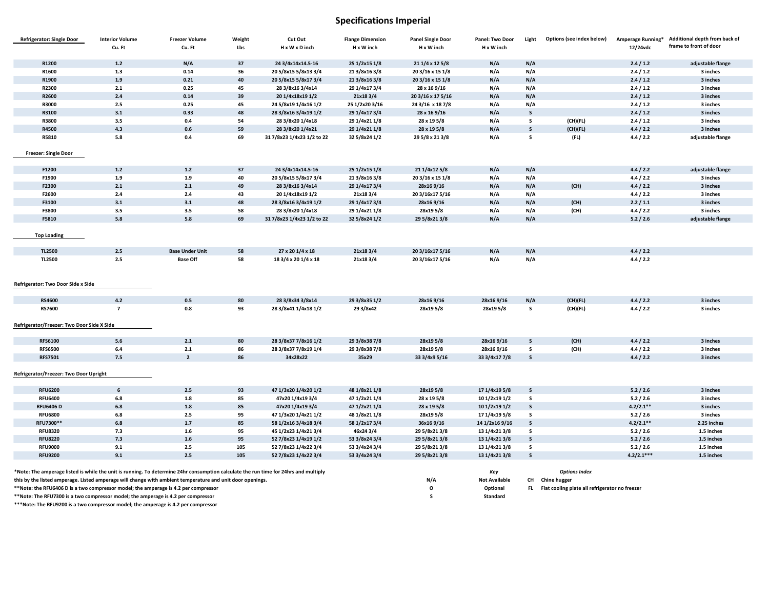# **Specifications Imperial**

| <b>Refrigerator: Single Door</b>                                                                                                     | <b>Interior Volume</b>                                                                                                                                                                           | <b>Freezer Volume</b>  | Weight   | Cut Out                    | <b>Flange Dimension</b> | <b>Panel Single Door</b> | Panel: Two Door             | Light        | Options (see index below)                                      | Amperage Running*    | Additional depth from back of |
|--------------------------------------------------------------------------------------------------------------------------------------|--------------------------------------------------------------------------------------------------------------------------------------------------------------------------------------------------|------------------------|----------|----------------------------|-------------------------|--------------------------|-----------------------------|--------------|----------------------------------------------------------------|----------------------|-------------------------------|
|                                                                                                                                      | Cu. Ft                                                                                                                                                                                           | Cu. Ft                 | Lbs      | H x W x D inch             | H x W inch              | H x W inch               | H x W inch                  |              |                                                                | 12/24vdc             | frame to front of door        |
| R1200                                                                                                                                | $1.2$                                                                                                                                                                                            | N/A                    | 37       | 24 3/4x14x14.5-16          | 25 1/2x15 1/8           | 21 1/4 x 12 5/8          | N/A                         | N/A          |                                                                | 2.4 / 1.2            |                               |
| R1600                                                                                                                                | 1.3                                                                                                                                                                                              | 0.14                   | 36       | 205/8x155/8x133/4          | 21 3/8x16 3/8           | 20 3/16 x 15 1/8         | N/A                         | N/A          |                                                                | 2.4/1.2              | adjustable flange<br>3 inches |
| R1900                                                                                                                                | 1.9                                                                                                                                                                                              | 0.21                   | 40       | 205/8x155/8x173/4          | 21 3/8x16 3/8           | 20 3/16 x 15 1/8         |                             | N/A          |                                                                | 2.4/1.2              | 3 inches                      |
| R2300                                                                                                                                | 2.1                                                                                                                                                                                              | 0.25                   | 45       | 28 3/8x16 3/4x14           | 29 1/4x17 3/4           | 28 x 16 9/16             | N/A<br>N/A                  | N/A          |                                                                | 2.4/1.2              | 3 inches                      |
| R2600                                                                                                                                | 2.4                                                                                                                                                                                              | 0.14                   | 39       | 20 1/4x18x19 1/2           | 21x183/4                | 20 3/16 x 17 5/16        |                             |              |                                                                |                      | 3 inches                      |
|                                                                                                                                      |                                                                                                                                                                                                  |                        | 45       |                            |                         |                          | N/A                         | N/A          |                                                                | 2.4 / 1.2            |                               |
| R3000                                                                                                                                | 2.5                                                                                                                                                                                              | 0.25                   |          | 24 5/8x19 1/4x16 1/2       | 25 1/2x20 3/16          | 24 3/16 x 18 7/8         | N/A                         | N/A          |                                                                | 2.4/1.2              | 3 inches                      |
| R3100<br>R3800                                                                                                                       | 3.1<br>3.5                                                                                                                                                                                       | 0.33<br>0.4            | 48<br>54 | 28 3/8x16 3/4x19 1/2       | 29 1/4x17 3/4           | 28 x 16 9/16             | N/A                         | s<br>s       |                                                                | 2.4 / 1.2<br>2.4/1.2 | 3 inches                      |
|                                                                                                                                      |                                                                                                                                                                                                  |                        | 59       | 28 3/8x20 1/4x18           | 29 1/4x21 1/8           | 28 x 19 5/8              | N/A                         |              | (CH)(FL)                                                       |                      | 3 inches<br>3 inches          |
| R4500                                                                                                                                | 4.3                                                                                                                                                                                              | 0.6                    |          | 28 3/8x20 1/4x21           | 29 1/4x21 1/8           | 28 x 19 5/8              | N/A                         | s            | (CH)(FL)                                                       | 4.4 / 2.2            |                               |
| R5810                                                                                                                                | 5.8                                                                                                                                                                                              | 0.4                    | 69       | 31 7/8x23 1/4x23 1/2 to 22 | 32 5/8x24 1/2           | 29 5/8 x 21 3/8          | N/A                         | s            | (FL)                                                           | 4.4 / 2.2            | adjustable flange             |
| <b>Freezer: Single Door</b>                                                                                                          |                                                                                                                                                                                                  |                        |          |                            |                         |                          |                             |              |                                                                |                      |                               |
| F1200                                                                                                                                | $1.2$                                                                                                                                                                                            | $1.2$                  | 37       | 24 3/4x14x14.5-16          | 25 1/2x15 1/8           | 21 1/4x12 5/8            | N/A                         | N/A          |                                                                | 4.4 / 2.2            | adjustable flange             |
| F1900                                                                                                                                | 1.9                                                                                                                                                                                              | 1.9                    | 40       | 20 5/8x15 5/8x17 3/4       | 21 3/8x16 3/8           | 20 3/16 x 15 1/8         | N/A                         | N/A          |                                                                | 4.4 / 2.2            | 3 inches                      |
| F2300                                                                                                                                | 2.1                                                                                                                                                                                              | 2.1                    | 49       | 28 3/8x16 3/4x14           | 29 1/4x17 3/4           | 28x169/16                | N/A                         | N/A          | (CH)                                                           | 4.4 / 2.2            | 3 inches                      |
| F2600                                                                                                                                | 2.4                                                                                                                                                                                              | 2.4                    | 43       | 20 1/4x18x19 1/2           | 21x183/4                | 20 3/16x17 5/16          | N/A                         | N/A          |                                                                | 4.4 / 2.2            | 3 inches                      |
| F3100                                                                                                                                | 3.1                                                                                                                                                                                              | 3.1                    | 48       | 28 3/8x16 3/4x19 1/2       | 29 1/4x17 3/4           | 28x169/16                | N/A                         | N/A          | (CH)                                                           | 2.2 / 1.1            | 3 inches                      |
| F3800                                                                                                                                | 3.5                                                                                                                                                                                              | 3.5                    | 58       | 28 3/8x20 1/4x18           | 29 1/4x21 1/8           | 28x19 5/8                | N/A                         | N/A          | (CH)                                                           | 4.4 / 2.2            | 3 inches                      |
| F5810                                                                                                                                | 5.8                                                                                                                                                                                              | 5.8                    | 69       | 31 7/8x23 1/4x23 1/2 to 22 | 32 5/8x24 1/2           | 29 5/8x21 3/8            | N/A                         | N/A          |                                                                | 5.2 / 2.6            | adjustable flange             |
|                                                                                                                                      |                                                                                                                                                                                                  |                        |          |                            |                         |                          |                             |              |                                                                |                      |                               |
| <b>Top Loading</b>                                                                                                                   |                                                                                                                                                                                                  |                        |          |                            |                         |                          |                             |              |                                                                |                      |                               |
| TL2500                                                                                                                               | 2.5                                                                                                                                                                                              | <b>Base Under Unit</b> | 58       | 27 x 20 1/4 x 18           | 21x183/4                | 20 3/16x17 5/16          | N/A                         | N/A          |                                                                | 4.4 / 2.2            |                               |
| TL2500                                                                                                                               | 2.5                                                                                                                                                                                              | <b>Base Off</b>        | 58       | 183/4 x 201/4 x 18         | 21x183/4                | 20 3/16x17 5/16          | N/A                         | N/A          |                                                                | 4.4 / 2.2            |                               |
| Refrigerator: Two Door Side x Side                                                                                                   |                                                                                                                                                                                                  |                        |          |                            |                         |                          |                             |              |                                                                |                      |                               |
| <b>RS4600</b>                                                                                                                        | 4.2                                                                                                                                                                                              | 0.5                    | 80       | 28 3/8x34 3/8x14           | 29 3/8x35 1/2           | 28x169/16                | 28x16 9/16                  | N/A          | (CH)(FL)                                                       | 4.4 / 2.2            | 3 inches                      |
| <b>RS7600</b>                                                                                                                        | $\overline{7}$                                                                                                                                                                                   | $0.8\,$                | 93       | 28 3/8x41 1/4x18 1/2       | 29 3/8x42               | 28x19 5/8                | 28x19 5/8                   | s            | (CH)(FL)                                                       | 4.4 / 2.2            | 3 inches                      |
|                                                                                                                                      |                                                                                                                                                                                                  |                        |          |                            |                         |                          |                             |              |                                                                |                      |                               |
| Refrigerator/Freezer: Two Door Side X Side                                                                                           |                                                                                                                                                                                                  |                        |          |                            |                         |                          |                             |              |                                                                |                      |                               |
|                                                                                                                                      |                                                                                                                                                                                                  |                        |          |                            |                         |                          |                             |              |                                                                |                      |                               |
| <b>RFS6100</b>                                                                                                                       | 5.6                                                                                                                                                                                              | $2.1\,$                | 80       | 28 3/8x37 7/8x16 1/2       | 29 3/8x38 7/8           | 28x19 5/8                | 28x169/16                   | s            | (CH)                                                           | 4.4 / 2.2            | 3 inches                      |
| <b>RFS6500</b>                                                                                                                       | 6.4                                                                                                                                                                                              | 2.1                    | 86       | 28 3/8x37 7/8x19 1/4       | 29 3/8x38 7/8           | 28x19 5/8                | 28x16 9/16                  | s            | (CH)                                                           | 4.4 / 2.2            | 3 inches                      |
| <b>RFS7501</b>                                                                                                                       | 7.5                                                                                                                                                                                              | $\overline{2}$         | 86       | 34x28x22                   | 35x29                   | 33 3/4x9 5/16            | 33 3/4x17 7/8               | $\mathsf s$  |                                                                | 4.4 / 2.2            | 3 inches                      |
| Refrigerator/Freezer: Two Door Upright                                                                                               |                                                                                                                                                                                                  |                        |          |                            |                         |                          |                             |              |                                                                |                      |                               |
| <b>RFU6200</b>                                                                                                                       | 6                                                                                                                                                                                                | 2.5                    | 93       | 47 1/3x20 1/4x20 1/2       | 48 1/8x21 1/8           | 28x19 5/8                | 17 1/4x19 5/8               | S            |                                                                | 5.2 / 2.6            | 3 inches                      |
| <b>RFU6400</b>                                                                                                                       | 6.8                                                                                                                                                                                              | $1.8\,$                | 85       | 47x20 1/4x19 3/4           | 47 1/2x21 1/4           | 28 x 19 5/8              | 10 1/2x19 1/2               | s            |                                                                | 5.2 / 2.6            | 3 inches                      |
| <b>RFU6406D</b>                                                                                                                      | 6.8                                                                                                                                                                                              | $1.8$                  | 85       | 47x20 1/4x19 3/4           | 47 1/2x21 1/4           | 28 x 19 5/8              | 10 1/2x19 1/2               | $\mathsf{s}$ |                                                                | $4.2/2.1**$          | 3 inches                      |
| <b>RFU6800</b>                                                                                                                       | $6.8\,$                                                                                                                                                                                          | 2.5                    | 95       | 47 1/3x20 1/4x21 1/2       | 48 1/8x21 1/8           | 28x19 5/8                | 17 1/4x19 5/8               | s            |                                                                | 5.2 / 2.6            | 3 inches                      |
| RFU7300**                                                                                                                            | 6.8                                                                                                                                                                                              | $1.7$                  | 85       | 58 1/2x16 3/4x18 3/4       | 58 1/2x17 3/4           | 36x169/16                | 14 1/2x16 9/16              | $\mathsf s$  |                                                                | $4.2/2.1**$          | 2.25 inches                   |
| <b>RFU8320</b>                                                                                                                       | 7.3                                                                                                                                                                                              | 1.6                    | 95       | 45 1/2x23 1/4x21 3/4       | 46x243/4                | 29 5/8x21 3/8            | 13 1/4x21 3/8               | s            |                                                                | 5.2 / 2.6            | 1.5 inches                    |
| <b>RFU8220</b>                                                                                                                       | 7.3                                                                                                                                                                                              | 1.6                    | 95       | 52 7/8x23 1/4x19 1/2       | 53 3/8x24 3/4           | 29 5/8x21 3/8            | 13 1/4x21 3/8               | s            |                                                                | 5.2 / 2.6            | 1.5 inches                    |
| <b>RFU9000</b>                                                                                                                       | 9.1                                                                                                                                                                                              | $2.5\,$                | 105      | 52 7/8x23 1/4x22 3/4       | 53 3/4x24 3/4           | 29 5/8x21 3/8            | 13 1/4x21 3/8               | s            |                                                                | 5.2 / 2.6            | 1.5 inches                    |
| <b>RFU9200</b>                                                                                                                       | 9.1                                                                                                                                                                                              | 2.5                    | 105      | 52 7/8x23 1/4x22 3/4       | 53 3/4x24 3/4           | 29 5/8x21 3/8            | 13 1/4x21 3/8               | $\mathsf s$  |                                                                | $4.2/2.1***$         | 1.5 inches                    |
|                                                                                                                                      |                                                                                                                                                                                                  |                        |          |                            |                         |                          |                             |              |                                                                |                      |                               |
| *Note: The amperage listed is while the unit is running. To determine 24hr consumption calculate the run time for 24hrs and multiply |                                                                                                                                                                                                  |                        |          |                            |                         | N/A                      | Key<br><b>Not Available</b> |              | <b>Options Index</b>                                           |                      |                               |
|                                                                                                                                      | this by the listed amperage. Listed amperage will change with ambient temperature and unit door openings.<br>**Note: the RFU6406 D is a two compressor model; the amperage is 4.2 per compressor |                        |          |                            |                         |                          |                             | CH<br>FL.    | Chine hugger<br>Flat cooling plate all refrigerator no freezer |                      |                               |
| **Note: The RFU7300 is a two compressor model; the amperage is 4.2 per compressor                                                    |                                                                                                                                                                                                  |                        |          |                            |                         | $\circ$<br>s             | Optional<br>Standard        |              |                                                                |                      |                               |
| ***Note: The RFU9200 is a two compressor model; the amperage is 4.2 per compressor                                                   |                                                                                                                                                                                                  |                        |          |                            |                         |                          |                             |              |                                                                |                      |                               |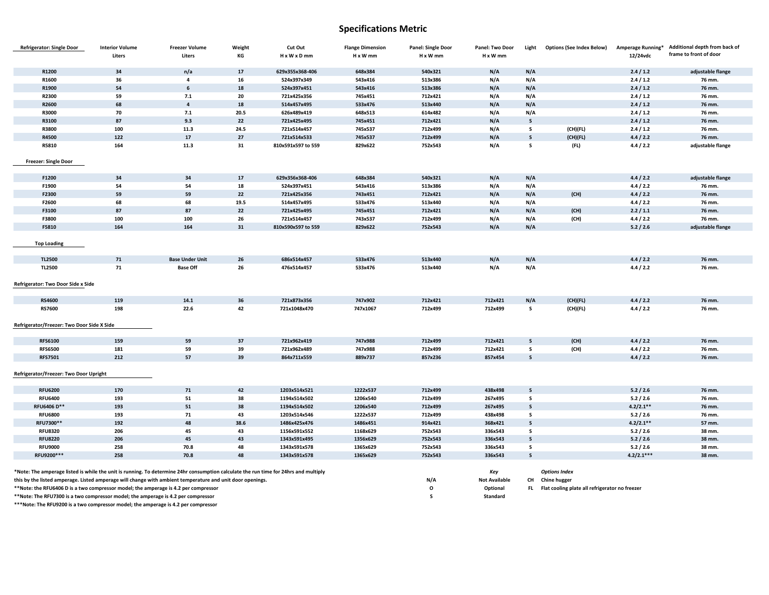### **Specifications Metric**

| <b>Refrigerator: Single Door</b>                                                                                                     | <b>Interior Volume</b> | <b>Freezer Volume</b>   | Weight | Cut Out            | <b>Flange Dimension</b> | Panel: Single Door | Panel: Two Door      | Light        | <b>Options (See Index Below)</b>               | Amperage Running* | Additional depth from back of |
|--------------------------------------------------------------------------------------------------------------------------------------|------------------------|-------------------------|--------|--------------------|-------------------------|--------------------|----------------------|--------------|------------------------------------------------|-------------------|-------------------------------|
|                                                                                                                                      | Liters                 | Liters                  | КG     | H x W x D mm       | H x W mm                | H x W mm           | H x W mm             |              |                                                | 12/24vdc          | frame to front of door        |
|                                                                                                                                      |                        |                         |        |                    |                         |                    |                      |              |                                                |                   |                               |
| R1200                                                                                                                                | 34                     | n/a                     | 17     | 629x355x368-406    | 648x384                 | 540x321            | N/A                  | N/A          |                                                | 2.4/1.2           | adjustable flange             |
| R1600                                                                                                                                | 36                     | $\overline{\mathbf{4}}$ | 16     | 524x397x349        | 543x416                 | 513x386            | N/A                  | N/A          |                                                | 2.4 / 1.2         | 76 mm.                        |
| R1900                                                                                                                                | 54                     | 6                       | 18     | 524x397x451        | 543x416                 | 513x386            | N/A                  | N/A          |                                                | 2.4 / 1.2         | 76 mm.                        |
| R2300                                                                                                                                | 59                     | 7.1                     | 20     | 721x425x356        | 745x451                 | 712x421            | N/A                  | N/A          |                                                | 2.4 / 1.2         | 76 mm.                        |
| R2600                                                                                                                                | 68                     | $\overline{4}$          | 18     | 514x457x495        | 533x476                 | 513x440            | N/A                  | N/A          |                                                | 2.4 / 1.2         | 76 mm.                        |
| R3000                                                                                                                                | 70                     | 7.1                     | 20.5   | 626x489x419        | 648x513                 | 614x482            | N/A                  | N/A          |                                                | 2.4 / 1.2         | 76 mm.                        |
| R3100                                                                                                                                | 87                     | 9.3                     | 22     | 721x425x495        | 745x451                 | 712x421            | N/A                  | $\mathsf s$  |                                                | 2.4 / 1.2         | 76 mm.                        |
| R3800                                                                                                                                | 100                    | 11.3                    | 24.5   | 721x514x457        | 745x537                 | 712x499            | N/A                  | s            | (CH)(FL)                                       | 2.4 / 1.2         | 76 mm.                        |
| R4500                                                                                                                                | 122                    | $17$                    | 27     | 721x514x533        | 745x537                 | 712x499            | N/A                  | $\mathsf s$  | (CH)(FL)                                       | 4.4 / 2.2         | 76 mm.                        |
| R5810                                                                                                                                | 164                    | 11.3                    | 31     | 810x591x597 to 559 | 829x622                 | 752x543            | N/A                  | s            | (FL)                                           | 4.4 / 2.2         | adjustable flange             |
|                                                                                                                                      |                        |                         |        |                    |                         |                    |                      |              |                                                |                   |                               |
| <b>Freezer: Single Door</b>                                                                                                          |                        |                         |        |                    |                         |                    |                      |              |                                                |                   |                               |
| F1200                                                                                                                                | 34                     | 34                      | 17     | 629x356x368-406    | 648x384                 | 540x321            | N/A                  | N/A          |                                                | 4.4 / 2.2         | adjustable flange             |
| F1900                                                                                                                                | 54                     | 54                      | 18     | 524x397x451        | 543x416                 | 513x386            |                      |              |                                                | 4.4 / 2.2         |                               |
|                                                                                                                                      | 59                     | 59                      | 22     |                    |                         |                    | N/A                  | N/A          |                                                |                   | 76 mm.                        |
| F2300                                                                                                                                |                        |                         |        | 721x425x356        | 743x451                 | 712x421            | N/A                  | N/A          | (CH)                                           | 4.4 / 2.2         | 76 mm.                        |
| F2600                                                                                                                                | 68                     | 68                      | 19.5   | 514x457x495        | 533x476                 | 513x440            | N/A                  | N/A          |                                                | 4.4 / 2.2         | 76 mm.                        |
| F3100                                                                                                                                | 87                     | 87                      | 22     | 721x425x495        | 745x451                 | 712x421            | N/A                  | N/A          | (CH)                                           | 2.2 / 1.1         | 76 mm.                        |
| F3800                                                                                                                                | 100                    | 100                     | 26     | 721x514x457        | 743x537                 | 712x499            | N/A                  | N/A          | (CH)                                           | 4.4 / 2.2         | 76 mm.                        |
| F5810                                                                                                                                | 164                    | 164                     | 31     | 810x590x597 to 559 | 829x622                 | 752x543            | N/A                  | N/A          |                                                | 5.2 / 2.6         | adjustable flange             |
|                                                                                                                                      |                        |                         |        |                    |                         |                    |                      |              |                                                |                   |                               |
| <b>Top Loading</b>                                                                                                                   |                        |                         |        |                    |                         |                    |                      |              |                                                |                   |                               |
|                                                                                                                                      |                        |                         |        |                    |                         |                    |                      |              |                                                |                   |                               |
| TL2500                                                                                                                               | 71                     | <b>Base Under Unit</b>  | 26     | 686x514x457        | 533x476                 | 513x440            | N/A                  | N/A          |                                                | 4.4 / 2.2         | 76 mm.                        |
| <b>TL2500</b>                                                                                                                        | 71                     | <b>Base Off</b>         | 26     | 476x514x457        | 533x476                 | 513x440            | N/A                  | N/A          |                                                | 4.4 / 2.2         | 76 mm.                        |
|                                                                                                                                      |                        |                         |        |                    |                         |                    |                      |              |                                                |                   |                               |
| Refrigerator: Two Door Side x Side                                                                                                   |                        |                         |        |                    |                         |                    |                      |              |                                                |                   |                               |
|                                                                                                                                      |                        |                         |        |                    |                         |                    |                      |              |                                                |                   |                               |
| RS4600                                                                                                                               | 119                    | 14.1                    | 36     | 721x873x356        | 747x902                 | 712x421            | 712x421              | N/A          | (CH)(FL)                                       | 4.4 / 2.2         | 76 mm.                        |
| <b>RS7600</b>                                                                                                                        | 198                    | 22.6                    | 42     | 721x1048x470       | 747x1067                | 712x499            | 712x499              | s            | (CH)(FL)                                       | 4.4 / 2.2         | 76 mm.                        |
|                                                                                                                                      |                        |                         |        |                    |                         |                    |                      |              |                                                |                   |                               |
| Refrigerator/Freezer: Two Door Side X Side                                                                                           |                        |                         |        |                    |                         |                    |                      |              |                                                |                   |                               |
|                                                                                                                                      |                        |                         |        |                    |                         |                    |                      |              |                                                |                   |                               |
| <b>RFS6100</b>                                                                                                                       | 159                    | 59                      | 37     | 721x962x419        | 747x988                 | 712x499            | 712x421              | $\mathsf{s}$ | (CH)                                           | 4.4 / 2.2         | 76 mm.                        |
| <b>RFS6500</b>                                                                                                                       | 181                    | 59                      | 39     | 721x962x489        | 747x988                 | 712x499            | 712x421              | s            | (CH)                                           | 4.4 / 2.2         | 76 mm.                        |
| <b>RFS7501</b>                                                                                                                       | 212                    | 57                      | 39     | 864x711x559        | 889x737                 | 857x236            | 857x454              | $\mathsf s$  |                                                | 4.4 / 2.2         | 76 mm.                        |
|                                                                                                                                      |                        |                         |        |                    |                         |                    |                      |              |                                                |                   |                               |
| Refrigerator/Freezer: Two Door Upright                                                                                               |                        |                         |        |                    |                         |                    |                      |              |                                                |                   |                               |
|                                                                                                                                      |                        |                         |        |                    |                         |                    |                      |              |                                                |                   |                               |
| <b>RFU6200</b>                                                                                                                       | 170                    | 71                      | 42     | 1203x514x521       | 1222x537                | 712x499            | 438x498              | $\mathsf{s}$ |                                                | 5.2 / 2.6         | 76 mm.                        |
| <b>RFU6400</b>                                                                                                                       | 193                    | 51                      | 38     | 1194x514x502       | 1206x540                | 712x499            | 267x495              | s            |                                                | 5.2 / 2.6         | 76 mm.                        |
| RFU6406 D**                                                                                                                          | 193                    | 51                      | 38     | 1194x514x502       | 1206x540                | 712x499            | 267x495              | $\mathsf s$  |                                                | $4.2/2.1**$       | 76 mm.                        |
| <b>RFU6800</b>                                                                                                                       | 193                    | 71                      | 43     | 1203x514x546       | 1222x537                | 712x499            | 438x498              | s            |                                                | 5.2 / 2.6         | 76 mm.                        |
| RFU7300**                                                                                                                            | 192                    | 48                      | 38.6   | 1486x425x476       | 1486x451                | 914x421            | 368x421              | $\mathsf{s}$ |                                                | $4.2/2.1**$       | 57 mm.                        |
| <b>RFU8320</b>                                                                                                                       | 206                    | 45                      | 43     | 1156x591x552       | 1168x629                | 752x543            | 336x543              | s            |                                                | 5.2 / 2.6         | 38 mm.                        |
| <b>RFU8220</b>                                                                                                                       | 206                    | 45                      | 43     | 1343x591x495       | 1356x629                | 752x543            | 336x543              | $\mathsf{s}$ |                                                | 5.2 / 2.6         | 38 mm.                        |
| <b>RFU9000</b>                                                                                                                       | 258                    | 70.8                    | 48     | 1343x591x578       | 1365x629                | 752x543            | 336x543              | s            |                                                | 5.2 / 2.6         | 38 mm.                        |
| RFU9200***                                                                                                                           | 258                    | 70.8                    | 48     | 1343x591x578       | 1365x629                | 752x543            | 336x543              | $\mathsf{s}$ |                                                | $4.2/2.1***$      | 38 mm.                        |
|                                                                                                                                      |                        |                         |        |                    |                         |                    |                      |              |                                                |                   |                               |
| *Note: The amperage listed is while the unit is running. To determine 24hr consumption calculate the run time for 24hrs and multiply |                        |                         |        |                    |                         |                    | Key                  |              | <b>Options Index</b>                           |                   |                               |
| this by the listed amperage. Listed amperage will change with ambient temperature and unit door openings.                            |                        |                         |        |                    |                         | N/A                | <b>Not Available</b> | CH           | <b>Chine hugger</b>                            |                   |                               |
| **Note: the RFU6406 D is a two compressor model; the amperage is 4.2 per compressor                                                  |                        |                         |        |                    |                         | $\circ$            | Optional             | FL.          | Flat cooling plate all refrigerator no freezer |                   |                               |
| **Note: The RFU7300 is a two compressor model; the amperage is 4.2 per compressor                                                    |                        |                         |        |                    |                         | s                  | Standard             |              |                                                |                   |                               |
| ***Note: The RFU9200 is a two compressor model; the amperage is 4.2 per compressor                                                   |                        |                         |        |                    |                         |                    |                      |              |                                                |                   |                               |